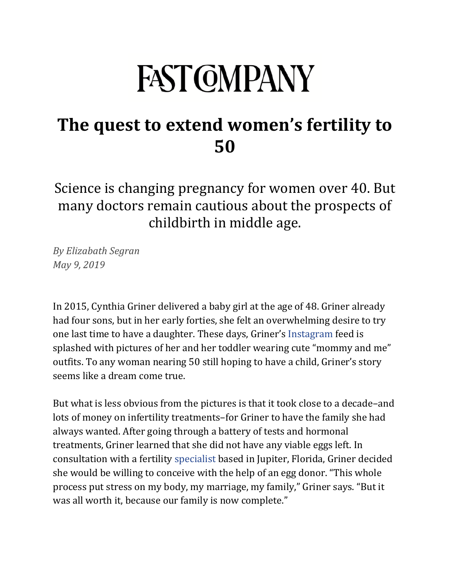## **FAST COMPANY**

## **[The quest to extend women's fertility to](https://www.fastcompany.com/90341271/the-quest-to-extend-womens-fertility-to-50)  [50](https://www.fastcompany.com/90341271/the-quest-to-extend-womens-fertility-to-50)**

Science is changing pregnancy for women over 40. But many doctors remain cautious about the prospects of childbirth in middle age.

*By Elizabath Segran May 9, 2019*

In 2015, Cynthia Griner delivered a baby girl at the age of 48. Griner already had four sons, but in her early forties, she felt an overwhelming desire to try one last time to have a daughter. These days, Griner's [Instagram](https://www.instagram.com/palmbeachmommyof5/) feed is splashed with pictures of her and her toddler wearing cute "mommy and me" outfits. To any woman nearing 50 still hoping to have a child, Griner's story seems like a dream come true.

But what is less obvious from the pictures is that it took close to a decade–and lots of money on infertility treatments–for Griner to have the family she had always wanted. After going through a battery of tests and hormonal treatments, Griner learned that she did not have any viable eggs left. In consultation with a fertility [specialist](https://www.ivfmd.com/about-us/providers/jenna-mccarthy-md/) based in Jupiter, Florida, Griner decided she would be willing to conceive with the help of an egg donor. "This whole process put stress on my body, my marriage, my family," Griner says. "But it was all worth it, because our family is now complete."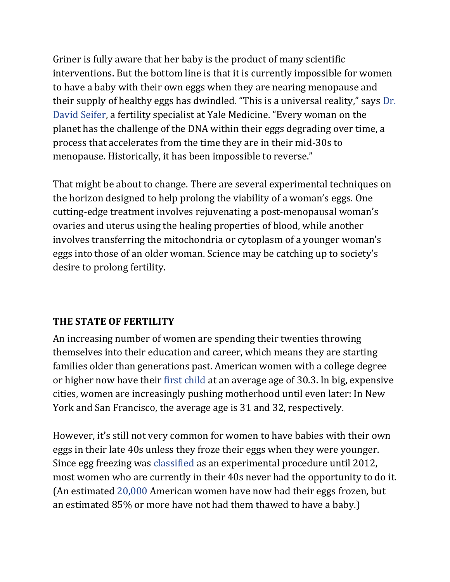Griner is fully aware that her baby is the product of many scientific interventions. But the bottom line is that it is currently impossible for women to have a baby with their own eggs when they are nearing menopause and their supply of healthy eggs has dwindled. "This is a universal reality," says [Dr.](https://www.yalemedicine.org/doctors/david_seifer/)  [David Seifer](https://www.yalemedicine.org/doctors/david_seifer/), a fertility specialist at Yale Medicine. "Every woman on the planet has the challenge of the DNA within their eggs degrading over time, a process that accelerates from the time they are in their mid-30s to menopause. Historically, it has been impossible to reverse."

That might be about to change. There are several experimental techniques on the horizon designed to help prolong the viability of a woman's eggs. One cutting-edge treatment involves rejuvenating a post-menopausal woman's ovaries and uterus using the healing properties of blood, while another involves transferring the mitochondria or cytoplasm of a younger woman's eggs into those of an older woman. Science may be catching up to society's desire to prolong fertility.

## **THE STATE OF FERTILITY**

An increasing number of women are spending their twenties throwing themselves into their education and career, which means they are starting families older than generations past. American women with a college degree or higher now have their [first child](https://www.nytimes.com/interactive/2018/08/04/upshot/up-birth-age-gap.html) at an average age of 30.3. In big, expensive cities, women are increasingly pushing motherhood until even later: In New York and San Francisco, the average age is 31 and 32, respectively.

However, it's still not very common for women to have babies with their own eggs in their late 40s unless they froze their eggs when they were younger. Since egg freezing was [classified](https://www.cnn.com/2012/10/19/health/egg-freezing/index.html) as an experimental procedure until 2012, most women who are currently in their 40s never had the opportunity to do it. (An estimated [20,000](https://www.nytimes.com/2018/03/13/health/eggs-freezing-storage-safety.html) American women have now had their eggs frozen, but an estimated 85% or more have not had them thawed to have a baby.)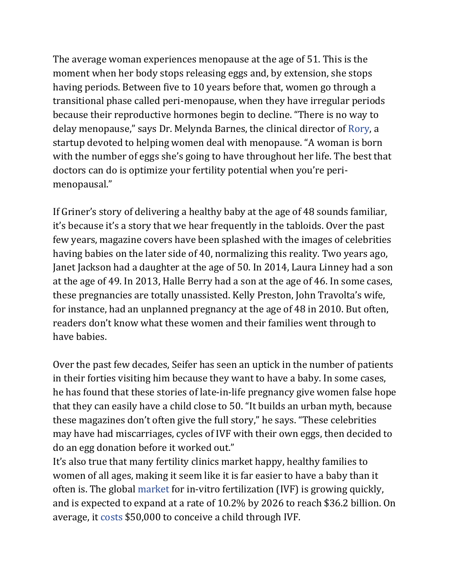The average woman experiences menopause at the age of 51. This is the moment when her body stops releasing eggs and, by extension, she stops having periods. Between five to 10 years before that, women go through a transitional phase called peri-menopause, when they have irregular periods because their reproductive hormones begin to decline. "There is no way to delay menopause," says Dr. Melynda Barnes, the clinical director of [Rory,](https://www.hellorory.com/about-us/) a startup devoted to helping women deal with menopause. "A woman is born with the number of eggs she's going to have throughout her life. The best that doctors can do is optimize your fertility potential when you're perimenopausal."

If Griner's story of delivering a healthy baby at the age of 48 sounds familiar, it's because it's a story that we hear frequently in the tabloids. Over the past few years, magazine covers have been splashed with the images of celebrities having babies on the later side of 40, normalizing this reality. Two years ago, Janet Jackson had a daughter at the age of 50. In 2014, Laura Linney had a son at the age of 49. In 2013, Halle Berry had a son at the age of 46. In some cases, these pregnancies are totally unassisted. Kelly Preston, John Travolta's wife, for instance, had an unplanned pregnancy at the age of 48 in 2010. But often, readers don't know what these women and their families went through to have babies.

Over the past few decades, Seifer has seen an uptick in the number of patients in their forties visiting him because they want to have a baby. In some cases, he has found that these stories of late-in-life pregnancy give women false hope that they can easily have a child close to 50. "It builds an urban myth, because these magazines don't often give the full story," he says. "These celebrities may have had miscarriages, cycles of IVF with their own eggs, then decided to do an egg donation before it worked out."

It's also true that many fertility clinics market happy, healthy families to women of all ages, making it seem like it is far easier to have a baby than it often is. The global [market](https://www.grandviewresearch.com/press-release/global-ivf-market) for in-vitro fertilization (IVF) is growing quickly, and is expected to expand at a rate of 10.2% by 2026 to reach \$36.2 billion. On average, it [costs](https://www.cnbc.com/2019/04/26/infertility-treatment-is-putting-families-in-debt.html) \$50,000 to conceive a child through IVF.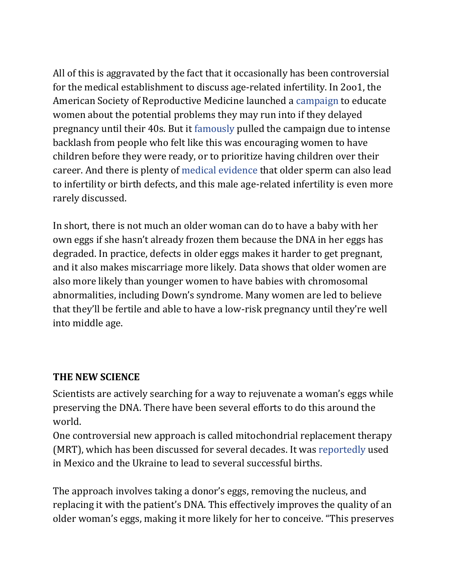All of this is aggravated by the fact that it occasionally has been controversial for the medical establishment to discuss age-related infertility. In 2oo1, the American Society of Reproductive Medicine launched a [campaign](https://www.fertstert.org/article/S0015-0282(03)00667-8/fulltext) to educate women about the potential problems they may run into if they delayed pregnancy until their 40s. But it [famously](https://www.fertstert.org/article/S0015-0282(03)00667-8/fulltext) pulled the campaign due to intense backlash from people who felt like this was encouraging women to have children before they were ready, or to prioritize having children over their career. And there is plenty of [medical evidence](https://www.nytimes.com/2006/06/06/health/06sper.html) that older sperm can also lead to infertility or birth defects, and this male age-related infertility is even more rarely discussed.

In short, there is not much an older woman can do to have a baby with her own eggs if she hasn't already frozen them because the DNA in her eggs has degraded. In practice, defects in older eggs makes it harder to get pregnant, and it also makes miscarriage more likely. Data shows that older women are also more likely than younger women to have babies with chromosomal abnormalities, including Down's syndrome. Many women are led to believe that they'll be fertile and able to have a low-risk pregnancy until they're well into middle age.

## **THE NEW SCIENCE**

Scientists are actively searching for a way to rejuvenate a woman's eggs while preserving the DNA. There have been several efforts to do this around the world.

One controversial new approach is called mitochondrial replacement therapy (MRT), which has been discussed for several decades. It was [reportedly](https://www.wired.com/story/a-controversial-fertility-treatment-gets-its-first-big-test/) used in Mexico and the Ukraine to lead to several successful births.

The approach involves taking a donor's eggs, removing the nucleus, and replacing it with the patient's DNA. This effectively improves the quality of an older woman's eggs, making it more likely for her to conceive. "This preserves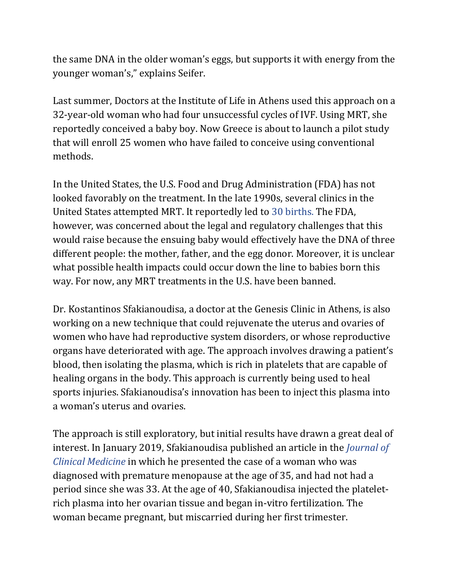the same DNA in the older woman's eggs, but supports it with energy from the younger woman's," explains Seifer.

Last summer, Doctors at the Institute of Life in Athens used this approach on a 32-year-old woman who had four unsuccessful cycles of IVF. Using MRT, she reportedly conceived a baby boy. Now Greece is about to launch a pilot study that will enroll 25 women who have failed to conceive using conventional methods.

In the United States, the U.S. Food and Drug Administration (FDA) has not looked favorably on the treatment. In the late 1990s, several clinics in the United States attempted MRT. It reportedly led to [30 births.](https://www.wired.com/story/a-controversial-fertility-treatment-gets-its-first-big-test/) The FDA, however, was concerned about the legal and regulatory challenges that this would raise because the ensuing baby would effectively have the DNA of three different people: the mother, father, and the egg donor. Moreover, it is unclear what possible health impacts could occur down the line to babies born this way. For now, any MRT treatments in the U.S. have been banned.

Dr. Kostantinos Sfakianoudisa, a doctor at the Genesis Clinic in Athens, is also working on a new technique that could rejuvenate the uterus and ovaries of women who have had reproductive system disorders, or whose reproductive organs have deteriorated with age. The approach involves drawing a patient's blood, then isolating the plasma, which is rich in platelets that are capable of healing organs in the body. This approach is currently being used to heal sports injuries. Sfakianoudisa's innovation has been to inject this plasma into a woman's uterus and ovaries.

The approach is still exploratory, but initial results have drawn a great deal of interest. In January 2019, Sfakianoudisa published an article in the *[Journal of](https://www.ncbi.nlm.nih.gov/pmc/articles/PMC6352170/)  [Clinical Medicine](https://www.ncbi.nlm.nih.gov/pmc/articles/PMC6352170/)* in which he presented the case of a woman who was diagnosed with premature menopause at the age of 35, and had not had a period since she was 33. At the age of 40, Sfakianoudisa injected the plateletrich plasma into her ovarian tissue and began in-vitro fertilization. The woman became pregnant, but miscarried during her first trimester.